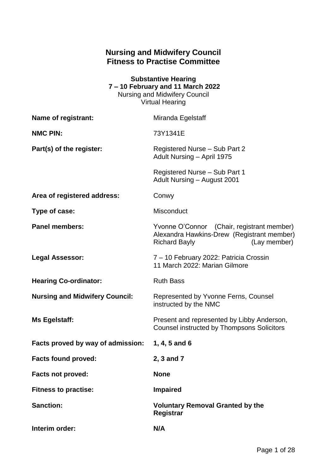## **Nursing and Midwifery Council Fitness to Practise Committee**

| <b>Substantive Hearing</b>           |  |  |  |
|--------------------------------------|--|--|--|
| 7 – 10 February and 11 March 2022    |  |  |  |
| <b>Nursing and Midwifery Council</b> |  |  |  |
| <b>Virtual Hearing</b>               |  |  |  |

| Name of registrant:                   | Miranda Egelstaff                                                                                                                |
|---------------------------------------|----------------------------------------------------------------------------------------------------------------------------------|
| <b>NMC PIN:</b>                       | 73Y1341E                                                                                                                         |
| Part(s) of the register:              | Registered Nurse - Sub Part 2<br>Adult Nursing - April 1975                                                                      |
|                                       | Registered Nurse - Sub Part 1<br>Adult Nursing - August 2001                                                                     |
| Area of registered address:           | Conwy                                                                                                                            |
| Type of case:                         | Misconduct                                                                                                                       |
| <b>Panel members:</b>                 | Yvonne O'Connor (Chair, registrant member)<br>Alexandra Hawkins-Drew (Registrant member)<br><b>Richard Bayly</b><br>(Lay member) |
| Legal Assessor:                       | 7 - 10 February 2022: Patricia Crossin<br>11 March 2022: Marian Gilmore                                                          |
| <b>Hearing Co-ordinator:</b>          | <b>Ruth Bass</b>                                                                                                                 |
| <b>Nursing and Midwifery Council:</b> | Represented by Yvonne Ferns, Counsel<br>instructed by the NMC                                                                    |
| Ms Egelstaff:                         | Present and represented by Libby Anderson,<br><b>Counsel instructed by Thompsons Solicitors</b>                                  |
| Facts proved by way of admission:     | 1, 4, 5 and $6$                                                                                                                  |
| <b>Facts found proved:</b>            | 2, 3 and 7                                                                                                                       |
| <b>Facts not proved:</b>              | <b>None</b>                                                                                                                      |
| <b>Fitness to practise:</b>           | <b>Impaired</b>                                                                                                                  |
| <b>Sanction:</b>                      | <b>Voluntary Removal Granted by the</b><br><b>Registrar</b>                                                                      |
| Interim order:                        | N/A                                                                                                                              |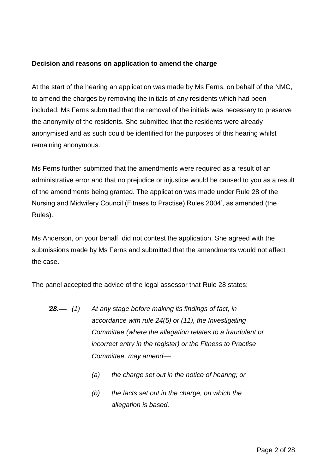### **Decision and reasons on application to amend the charge**

At the start of the hearing an application was made by Ms Ferns, on behalf of the NMC, to amend the charges by removing the initials of any residents which had been included. Ms Ferns submitted that the removal of the initials was necessary to preserve the anonymity of the residents. She submitted that the residents were already anonymised and as such could be identified for the purposes of this hearing whilst remaining anonymous.

Ms Ferns further submitted that the amendments were required as a result of an administrative error and that no prejudice or injustice would be caused to you as a result of the amendments being granted. The application was made under Rule 28 of the Nursing and Midwifery Council (Fitness to Practise) Rules 2004', as amended (the Rules).

Ms Anderson, on your behalf, did not contest the application. She agreed with the submissions made by Ms Ferns and submitted that the amendments would not affect the case.

The panel accepted the advice of the legal assessor that Rule 28 states:

- *'28. (1) At any stage before making its findings of fact, in accordance with rule 24(5) or (11), the Investigating Committee (where the allegation relates to a fraudulent or incorrect entry in the register) or the Fitness to Practise Committee, may amend*
	- *(a) the charge set out in the notice of hearing; or*
	- *(b) the facts set out in the charge, on which the allegation is based,*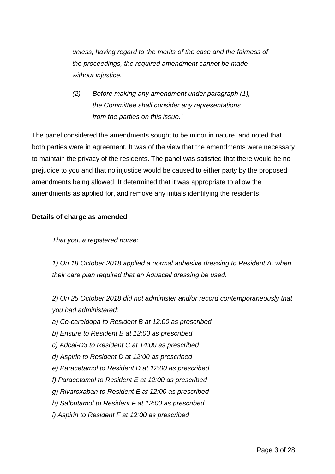*unless, having regard to the merits of the case and the fairness of the proceedings, the required amendment cannot be made without injustice.* 

*(2) Before making any amendment under paragraph (1), the Committee shall consider any representations from the parties on this issue.'*

The panel considered the amendments sought to be minor in nature, and noted that both parties were in agreement. It was of the view that the amendments were necessary to maintain the privacy of the residents. The panel was satisfied that there would be no prejudice to you and that no injustice would be caused to either party by the proposed amendments being allowed. It determined that it was appropriate to allow the amendments as applied for, and remove any initials identifying the residents.

## **Details of charge as amended**

*That you, a registered nurse:* 

*1) On 18 October 2018 applied a normal adhesive dressing to Resident A, when their care plan required that an Aquacell dressing be used.* 

*2) On 25 October 2018 did not administer and/or record contemporaneously that you had administered:* 

- *a) Co-careldopa to Resident B at 12:00 as prescribed*
- *b) Ensure to Resident B at 12:00 as prescribed*
- *c) Adcal-D3 to Resident C at 14:00 as prescribed*
- *d) Aspirin to Resident D at 12:00 as prescribed*
- *e) Paracetamol to Resident D at 12:00 as prescribed*
- *f) Paracetamol to Resident E at 12:00 as prescribed*
- *g) Rivaroxaban to Resident E at 12:00 as prescribed*
- *h) Salbutamol to Resident F at 12:00 as prescribed*
- *i) Aspirin to Resident F at 12:00 as prescribed*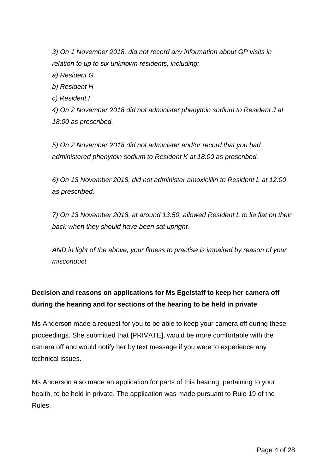*3) On 1 November 2018, did not record any information about GP visits in relation to up to six unknown residents, including:* 

*a) Resident G* 

*b) Resident H* 

*c) Resident I* 

*4) On 2 November 2018 did not administer phenytoin sodium to Resident J at 18:00 as prescribed.* 

*5) On 2 November 2018 did not administer and/or record that you had administered phenytoin sodium to Resident K at 18:00 as prescribed.* 

*6) On 13 November 2018, did not administer amoxicillin to Resident L at 12:00 as prescribed.* 

*7) On 13 November 2018, at around 13:50, allowed Resident L to lie flat on their back when they should have been sat upright.*

*AND in light of the above, your fitness to practise is impaired by reason of your misconduct*

# **Decision and reasons on applications for Ms Egelstaff to keep her camera off during the hearing and for sections of the hearing to be held in private**

Ms Anderson made a request for you to be able to keep your camera off during these proceedings. She submitted that [PRIVATE], would be more comfortable with the camera off and would notify her by text message if you were to experience any technical issues.

Ms Anderson also made an application for parts of this hearing, pertaining to your health, to be held in private. The application was made pursuant to Rule 19 of the Rules.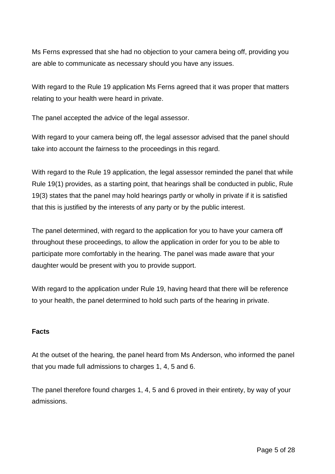Ms Ferns expressed that she had no objection to your camera being off, providing you are able to communicate as necessary should you have any issues.

With regard to the Rule 19 application Ms Ferns agreed that it was proper that matters relating to your health were heard in private.

The panel accepted the advice of the legal assessor.

With regard to your camera being off, the legal assessor advised that the panel should take into account the fairness to the proceedings in this regard.

With regard to the Rule 19 application, the legal assessor reminded the panel that while Rule 19(1) provides, as a starting point, that hearings shall be conducted in public, Rule 19(3) states that the panel may hold hearings partly or wholly in private if it is satisfied that this is justified by the interests of any party or by the public interest.

The panel determined, with regard to the application for you to have your camera off throughout these proceedings, to allow the application in order for you to be able to participate more comfortably in the hearing. The panel was made aware that your daughter would be present with you to provide support.

With regard to the application under Rule 19, having heard that there will be reference to your health, the panel determined to hold such parts of the hearing in private.

### **Facts**

At the outset of the hearing, the panel heard from Ms Anderson, who informed the panel that you made full admissions to charges 1, 4, 5 and 6.

The panel therefore found charges 1, 4, 5 and 6 proved in their entirety, by way of your admissions.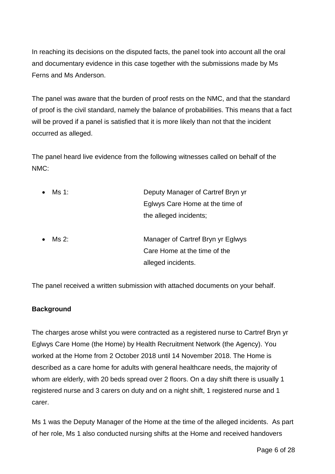In reaching its decisions on the disputed facts, the panel took into account all the oral and documentary evidence in this case together with the submissions made by Ms Ferns and Ms Anderson.

The panel was aware that the burden of proof rests on the NMC, and that the standard of proof is the civil standard, namely the balance of probabilities. This means that a fact will be proved if a panel is satisfied that it is more likely than not that the incident occurred as alleged.

The panel heard live evidence from the following witnesses called on behalf of the NMC:

| Ms 1: | Deputy Manager of Cartref Bryn yr |
|-------|-----------------------------------|
|       | Eglwys Care Home at the time of   |
|       | the alleged incidents;            |
|       |                                   |
| Ms 2: | Manager of Cartref Bryn yr Eglwys |
|       | Care Home at the time of the      |
|       | alleged incidents.                |
|       |                                   |

The panel received a written submission with attached documents on your behalf.

### **Background**

The charges arose whilst you were contracted as a registered nurse to Cartref Bryn yr Eglwys Care Home (the Home) by Health Recruitment Network (the Agency). You worked at the Home from 2 October 2018 until 14 November 2018. The Home is described as a care home for adults with general healthcare needs, the majority of whom are elderly, with 20 beds spread over 2 floors. On a day shift there is usually 1 registered nurse and 3 carers on duty and on a night shift, 1 registered nurse and 1 carer.

Ms 1 was the Deputy Manager of the Home at the time of the alleged incidents. As part of her role, Ms 1 also conducted nursing shifts at the Home and received handovers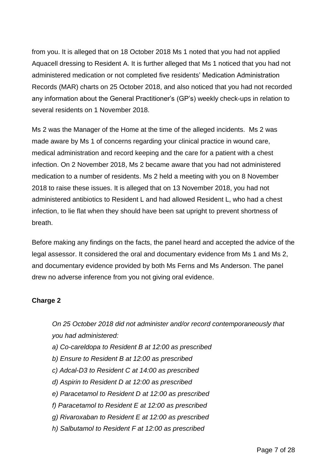from you. It is alleged that on 18 October 2018 Ms 1 noted that you had not applied Aquacell dressing to Resident A. It is further alleged that Ms 1 noticed that you had not administered medication or not completed five residents' Medication Administration Records (MAR) charts on 25 October 2018, and also noticed that you had not recorded any information about the General Practitioner's (GP's) weekly check-ups in relation to several residents on 1 November 2018.

Ms 2 was the Manager of the Home at the time of the alleged incidents. Ms 2 was made aware by Ms 1 of concerns regarding your clinical practice in wound care, medical administration and record keeping and the care for a patient with a chest infection. On 2 November 2018, Ms 2 became aware that you had not administered medication to a number of residents. Ms 2 held a meeting with you on 8 November 2018 to raise these issues. It is alleged that on 13 November 2018, you had not administered antibiotics to Resident L and had allowed Resident L, who had a chest infection, to lie flat when they should have been sat upright to prevent shortness of breath.

Before making any findings on the facts, the panel heard and accepted the advice of the legal assessor. It considered the oral and documentary evidence from Ms 1 and Ms 2, and documentary evidence provided by both Ms Ferns and Ms Anderson. The panel drew no adverse inference from you not giving oral evidence.

### **Charge 2**

*On 25 October 2018 did not administer and/or record contemporaneously that you had administered:* 

- *a) Co-careldopa to Resident B at 12:00 as prescribed*
- *b) Ensure to Resident B at 12:00 as prescribed*
- *c) Adcal-D3 to Resident C at 14:00 as prescribed*
- *d) Aspirin to Resident D at 12:00 as prescribed*
- *e) Paracetamol to Resident D at 12:00 as prescribed*
- *f) Paracetamol to Resident E at 12:00 as prescribed*
- *g) Rivaroxaban to Resident E at 12:00 as prescribed*
- *h) Salbutamol to Resident F at 12:00 as prescribed*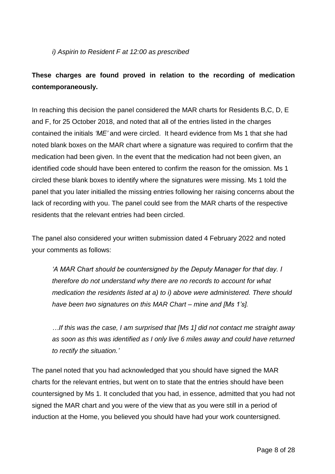### *i) Aspirin to Resident F at 12:00 as prescribed*

## **These charges are found proved in relation to the recording of medication contemporaneously.**

In reaching this decision the panel considered the MAR charts for Residents B.C, D, E and F, for 25 October 2018, and noted that all of the entries listed in the charges contained the initials *'ME'* and were circled. It heard evidence from Ms 1 that she had noted blank boxes on the MAR chart where a signature was required to confirm that the medication had been given. In the event that the medication had not been given, an identified code should have been entered to confirm the reason for the omission. Ms 1 circled these blank boxes to identify where the signatures were missing. Ms 1 told the panel that you later initialled the missing entries following her raising concerns about the lack of recording with you. The panel could see from the MAR charts of the respective residents that the relevant entries had been circled.

The panel also considered your written submission dated 4 February 2022 and noted your comments as follows:

*'A MAR Chart should be countersigned by the Deputy Manager for that day. I therefore do not understand why there are no records to account for what medication the residents listed at a) to i) above were administered. There should have been two signatures on this MAR Chart – mine and [Ms 1's].*

*…If this was the case, I am surprised that [Ms 1] did not contact me straight away as soon as this was identified as I only live 6 miles away and could have returned to rectify the situation.'*

The panel noted that you had acknowledged that you should have signed the MAR charts for the relevant entries, but went on to state that the entries should have been countersigned by Ms 1. It concluded that you had, in essence, admitted that you had not signed the MAR chart and you were of the view that as you were still in a period of induction at the Home, you believed you should have had your work countersigned.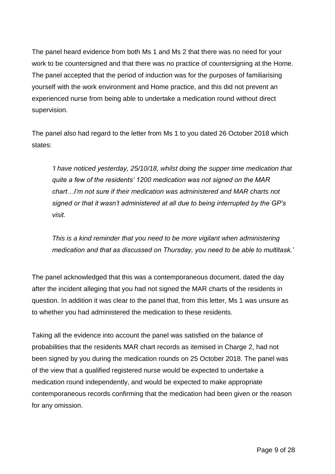The panel heard evidence from both Ms 1 and Ms 2 that there was no need for your work to be countersigned and that there was no practice of countersigning at the Home. The panel accepted that the period of induction was for the purposes of familiarising yourself with the work environment and Home practice, and this did not prevent an experienced nurse from being able to undertake a medication round without direct supervision.

The panel also had regard to the letter from Ms 1 to you dated 26 October 2018 which states:

*'I have noticed yesterday, 25/10/18, whilst doing the supper time medication that quite a few of the residents' 1200 medication was not signed on the MAR chart…I'm not sure if their medication was administered and MAR charts not signed or that it wasn't administered at all due to being interrupted by the GP's visit.*

*This is a kind reminder that you need to be more vigilant when administering medication and that as discussed on Thursday, you need to be able to multitask.'*

The panel acknowledged that this was a contemporaneous document, dated the day after the incident alleging that you had not signed the MAR charts of the residents in question. In addition it was clear to the panel that, from this letter, Ms 1 was unsure as to whether you had administered the medication to these residents.

Taking all the evidence into account the panel was satisfied on the balance of probabilities that the residents MAR chart records as itemised in Charge 2, had not been signed by you during the medication rounds on 25 October 2018. The panel was of the view that a qualified registered nurse would be expected to undertake a medication round independently, and would be expected to make appropriate contemporaneous records confirming that the medication had been given or the reason for any omission.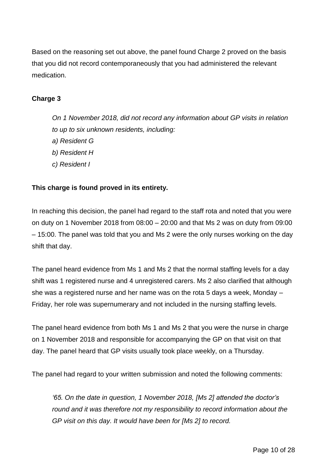Based on the reasoning set out above, the panel found Charge 2 proved on the basis that you did not record contemporaneously that you had administered the relevant medication.

### **Charge 3**

*On 1 November 2018, did not record any information about GP visits in relation to up to six unknown residents, including: a) Resident G b) Resident H c) Resident I* 

## **This charge is found proved in its entirety.**

In reaching this decision, the panel had regard to the staff rota and noted that you were on duty on 1 November 2018 from 08:00 – 20:00 and that Ms 2 was on duty from 09:00 – 15:00. The panel was told that you and Ms 2 were the only nurses working on the day shift that day.

The panel heard evidence from Ms 1 and Ms 2 that the normal staffing levels for a day shift was 1 registered nurse and 4 unregistered carers. Ms 2 also clarified that although she was a registered nurse and her name was on the rota 5 days a week, Monday – Friday, her role was supernumerary and not included in the nursing staffing levels.

The panel heard evidence from both Ms 1 and Ms 2 that you were the nurse in charge on 1 November 2018 and responsible for accompanying the GP on that visit on that day. The panel heard that GP visits usually took place weekly, on a Thursday.

The panel had regard to your written submission and noted the following comments:

*'65. On the date in question, 1 November 2018, [Ms 2] attended the doctor's round and it was therefore not my responsibility to record information about the GP visit on this day. It would have been for [Ms 2] to record.*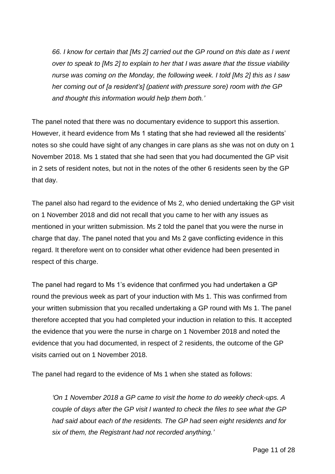*66. I know for certain that [Ms 2] carried out the GP round on this date as I went over to speak to [Ms 2] to explain to her that I was aware that the tissue viability nurse was coming on the Monday, the following week. I told [Ms 2] this as I saw her coming out of [a resident's] (patient with pressure sore) room with the GP and thought this information would help them both.'*

The panel noted that there was no documentary evidence to support this assertion. However, it heard evidence from Ms 1 stating that she had reviewed all the residents' notes so she could have sight of any changes in care plans as she was not on duty on 1 November 2018. Ms 1 stated that she had seen that you had documented the GP visit in 2 sets of resident notes, but not in the notes of the other 6 residents seen by the GP that day.

The panel also had regard to the evidence of Ms 2, who denied undertaking the GP visit on 1 November 2018 and did not recall that you came to her with any issues as mentioned in your written submission. Ms 2 told the panel that you were the nurse in charge that day. The panel noted that you and Ms 2 gave conflicting evidence in this regard. It therefore went on to consider what other evidence had been presented in respect of this charge.

The panel had regard to Ms 1's evidence that confirmed you had undertaken a GP round the previous week as part of your induction with Ms 1. This was confirmed from your written submission that you recalled undertaking a GP round with Ms 1. The panel therefore accepted that you had completed your induction in relation to this. It accepted the evidence that you were the nurse in charge on 1 November 2018 and noted the evidence that you had documented, in respect of 2 residents, the outcome of the GP visits carried out on 1 November 2018.

The panel had regard to the evidence of Ms 1 when she stated as follows:

*'On 1 November 2018 a GP came to visit the home to do weekly check-ups. A couple of days after the GP visit I wanted to check the files to see what the GP had said about each of the residents. The GP had seen eight residents and for six of them, the Registrant had not recorded anything.'*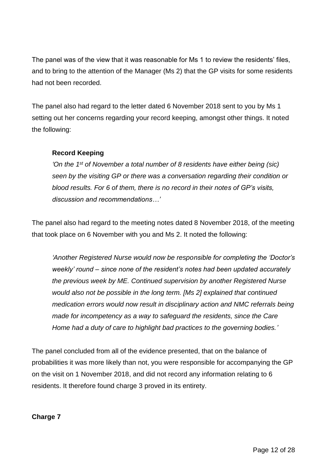The panel was of the view that it was reasonable for Ms 1 to review the residents' files, and to bring to the attention of the Manager (Ms 2) that the GP visits for some residents had not been recorded.

The panel also had regard to the letter dated 6 November 2018 sent to you by Ms 1 setting out her concerns regarding your record keeping, amongst other things. It noted the following:

## **Record Keeping**

*'On the 1st of November a total number of 8 residents have either being (sic) seen by the visiting GP or there was a conversation regarding their condition or blood results. For 6 of them, there is no record in their notes of GP's visits, discussion and recommendations…'*

The panel also had regard to the meeting notes dated 8 November 2018, of the meeting that took place on 6 November with you and Ms 2. It noted the following:

*'Another Registered Nurse would now be responsible for completing the 'Doctor's weekly' round – since none of the resident's notes had been updated accurately the previous week by ME. Continued supervision by another Registered Nurse would also not be possible in the long term. [Ms 2] explained that continued medication errors would now result in disciplinary action and NMC referrals being made for incompetency as a way to safeguard the residents, since the Care Home had a duty of care to highlight bad practices to the governing bodies.'*

The panel concluded from all of the evidence presented, that on the balance of probabilities it was more likely than not, you were responsible for accompanying the GP on the visit on 1 November 2018, and did not record any information relating to 6 residents. It therefore found charge 3 proved in its entirety.

### **Charge 7**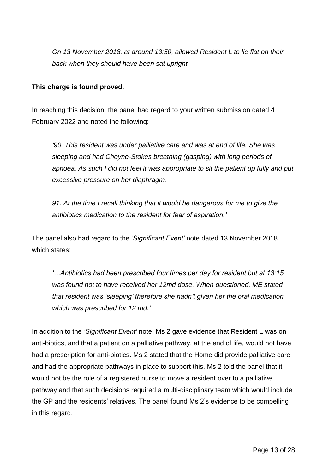*On 13 November 2018, at around 13:50, allowed Resident L to lie flat on their back when they should have been sat upright.*

### **This charge is found proved.**

In reaching this decision, the panel had regard to your written submission dated 4 February 2022 and noted the following:

*'90. This resident was under palliative care and was at end of life. She was sleeping and had Cheyne-Stokes breathing (gasping) with long periods of apnoea. As such I did not feel it was appropriate to sit the patient up fully and put excessive pressure on her diaphragm.*

*91. At the time I recall thinking that it would be dangerous for me to give the antibiotics medication to the resident for fear of aspiration.'*

The panel also had regard to the '*Significant Event'* note dated 13 November 2018 which states:

*'…Antibiotics had been prescribed four times per day for resident but at 13:15 was found not to have received her 12md dose. When questioned, ME stated that resident was 'sleeping' therefore she hadn't given her the oral medication which was prescribed for 12 md.'*

In addition to the *'Significant Event'* note, Ms 2 gave evidence that Resident L was on anti-biotics, and that a patient on a palliative pathway, at the end of life, would not have had a prescription for anti-biotics. Ms 2 stated that the Home did provide palliative care and had the appropriate pathways in place to support this. Ms 2 told the panel that it would not be the role of a registered nurse to move a resident over to a palliative pathway and that such decisions required a multi-disciplinary team which would include the GP and the residents' relatives. The panel found Ms 2's evidence to be compelling in this regard.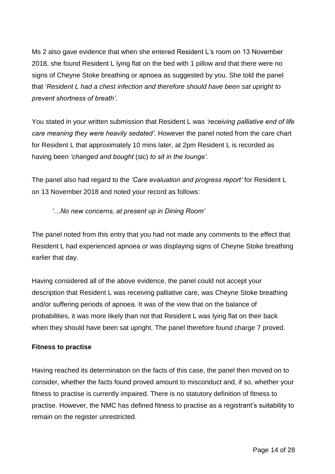Ms 2 also gave evidence that when she entered Resident L's room on 13 November 2018, she found Resident L lying flat on the bed with 1 pillow and that there were no signs of Cheyne Stoke breathing or apnoea as suggested by you. She told the panel that '*Resident L had a chest infection and therefore should have been sat upright to prevent shortness of breath'*.

You stated in your written submission that Resident L was *'receiving palliative end of life care meaning they were heavily sedated'*. However the panel noted from the care chart for Resident L that approximately 10 mins later, at 2pm Resident L is recorded as having been *'changed and bought* (sic) *to sit in the lounge'.*

The panel also had regard to the *'Care evaluation and progress report'* for Resident L on 13 November 2018 and noted your record as follows:

*'…No new concerns, at present up in Dining Room'*

The panel noted from this entry that you had not made any comments to the effect that Resident L had experienced apnoea or was displaying signs of Cheyne Stoke breathing earlier that day.

Having considered all of the above evidence, the panel could not accept your description that Resident L was receiving palliative care, was Cheyne Stoke breathing and/or suffering periods of apnoea. It was of the view that on the balance of probabilities, it was more likely than not that Resident L was lying flat on their back when they should have been sat upright. The panel therefore found charge 7 proved.

### **Fitness to practise**

Having reached its determination on the facts of this case, the panel then moved on to consider, whether the facts found proved amount to misconduct and, if so, whether your fitness to practise is currently impaired. There is no statutory definition of fitness to practise. However, the NMC has defined fitness to practise as a registrant's suitability to remain on the register unrestricted.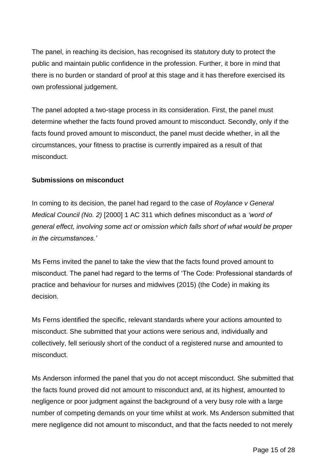The panel, in reaching its decision, has recognised its statutory duty to protect the public and maintain public confidence in the profession. Further, it bore in mind that there is no burden or standard of proof at this stage and it has therefore exercised its own professional judgement.

The panel adopted a two-stage process in its consideration. First, the panel must determine whether the facts found proved amount to misconduct. Secondly, only if the facts found proved amount to misconduct, the panel must decide whether, in all the circumstances, your fitness to practise is currently impaired as a result of that misconduct.

### **Submissions on misconduct**

In coming to its decision, the panel had regard to the case of *Roylance v General Medical Council (No. 2)* [2000] 1 AC 311 which defines misconduct as a *'word of general effect, involving some act or omission which falls short of what would be proper in the circumstances.'*

Ms Ferns invited the panel to take the view that the facts found proved amount to misconduct. The panel had regard to the terms of 'The Code: Professional standards of practice and behaviour for nurses and midwives (2015) (the Code) in making its decision.

Ms Ferns identified the specific, relevant standards where your actions amounted to misconduct. She submitted that your actions were serious and, individually and collectively, fell seriously short of the conduct of a registered nurse and amounted to misconduct.

Ms Anderson informed the panel that you do not accept misconduct. She submitted that the facts found proved did not amount to misconduct and, at its highest, amounted to negligence or poor judgment against the background of a very busy role with a large number of competing demands on your time whilst at work. Ms Anderson submitted that mere negligence did not amount to misconduct, and that the facts needed to not merely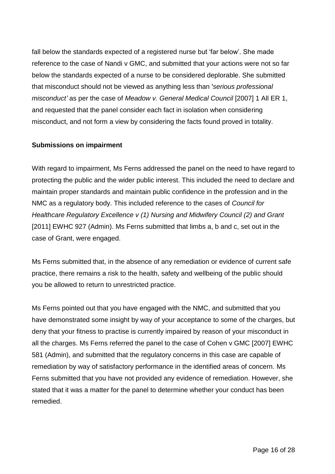fall below the standards expected of a registered nurse but 'far below'. She made reference to the case of Nandi v GMC, and submitted that your actions were not so far below the standards expected of a nurse to be considered deplorable. She submitted that misconduct should not be viewed as anything less than '*serious professional misconduct'* as per the case of *Meadow v. General Medical Council* [\[2007\] 1 All ER 1,](https://www.bailii.org/ew/cases/EWCA/Civ/2006/1390.html) and requested that the panel consider each fact in isolation when considering misconduct, and not form a view by considering the facts found proved in totality.

### **Submissions on impairment**

With regard to impairment, Ms Ferns addressed the panel on the need to have regard to protecting the public and the wider public interest. This included the need to declare and maintain proper standards and maintain public confidence in the profession and in the NMC as a regulatory body. This included reference to the cases of *Council for Healthcare Regulatory Excellence v (1) Nursing and Midwifery Council (2) and Grant*  [2011] EWHC 927 (Admin). Ms Ferns submitted that limbs a, b and c, set out in the case of Grant, were engaged.

Ms Ferns submitted that, in the absence of any remediation or evidence of current safe practice, there remains a risk to the health, safety and wellbeing of the public should you be allowed to return to unrestricted practice.

Ms Ferns pointed out that you have engaged with the NMC, and submitted that you have demonstrated some insight by way of your acceptance to some of the charges, but deny that your fitness to practise is currently impaired by reason of your misconduct in all the charges. Ms Ferns referred the panel to the case of Cohen v GMC [2007] EWHC 581 (Admin), and submitted that the regulatory concerns in this case are capable of remediation by way of satisfactory performance in the identified areas of concern. Ms Ferns submitted that you have not provided any evidence of remediation. However, she stated that it was a matter for the panel to determine whether your conduct has been remedied.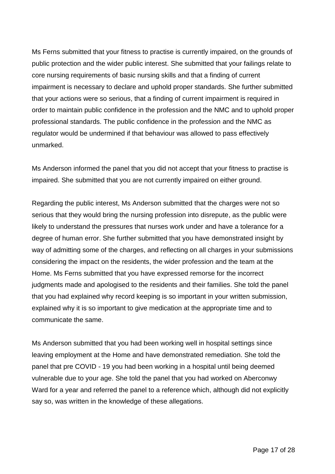Ms Ferns submitted that your fitness to practise is currently impaired, on the grounds of public protection and the wider public interest. She submitted that your failings relate to core nursing requirements of basic nursing skills and that a finding of current impairment is necessary to declare and uphold proper standards. She further submitted that your actions were so serious, that a finding of current impairment is required in order to maintain public confidence in the profession and the NMC and to uphold proper professional standards. The public confidence in the profession and the NMC as regulator would be undermined if that behaviour was allowed to pass effectively unmarked.

Ms Anderson informed the panel that you did not accept that your fitness to practise is impaired. She submitted that you are not currently impaired on either ground.

Regarding the public interest, Ms Anderson submitted that the charges were not so serious that they would bring the nursing profession into disrepute, as the public were likely to understand the pressures that nurses work under and have a tolerance for a degree of human error. She further submitted that you have demonstrated insight by way of admitting some of the charges, and reflecting on all charges in your submissions considering the impact on the residents, the wider profession and the team at the Home. Ms Ferns submitted that you have expressed remorse for the incorrect judgments made and apologised to the residents and their families. She told the panel that you had explained why record keeping is so important in your written submission, explained why it is so important to give medication at the appropriate time and to communicate the same.

Ms Anderson submitted that you had been working well in hospital settings since leaving employment at the Home and have demonstrated remediation. She told the panel that pre COVID - 19 you had been working in a hospital until being deemed vulnerable due to your age. She told the panel that you had worked on Aberconwy Ward for a year and referred the panel to a reference which, although did not explicitly say so, was written in the knowledge of these allegations.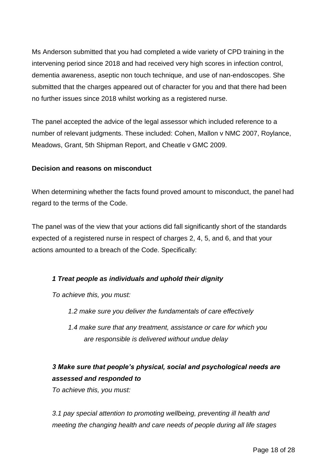Ms Anderson submitted that you had completed a wide variety of CPD training in the intervening period since 2018 and had received very high scores in infection control, dementia awareness, aseptic non touch technique, and use of nan-endoscopes. She submitted that the charges appeared out of character for you and that there had been no further issues since 2018 whilst working as a registered nurse.

The panel accepted the advice of the legal assessor which included reference to a number of relevant judgments. These included: Cohen, Mallon v NMC 2007, Roylance, Meadows, Grant, 5th Shipman Report, and Cheatle v GMC 2009.

### **Decision and reasons on misconduct**

When determining whether the facts found proved amount to misconduct, the panel had regard to the terms of the Code.

The panel was of the view that your actions did fall significantly short of the standards expected of a registered nurse in respect of charges 2, 4, 5, and 6, and that your actions amounted to a breach of the Code. Specifically:

### *1 Treat people as individuals and uphold their dignity*

*To achieve this, you must:* 

- *1.2 make sure you deliver the fundamentals of care effectively*
- *1.4 make sure that any treatment, assistance or care for which you are responsible is delivered without undue delay*

## *3 Make sure that people's physical, social and psychological needs are assessed and responded to*

*To achieve this, you must:* 

*3.1 pay special attention to promoting wellbeing, preventing ill health and meeting the changing health and care needs of people during all life stages*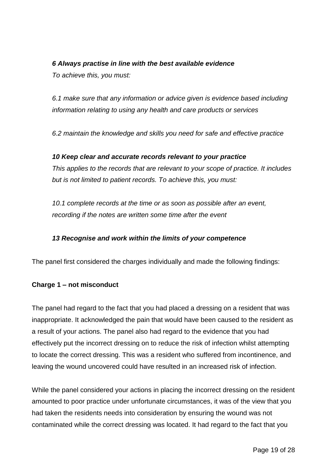### *6 Always practise in line with the best available evidence*

*To achieve this, you must:* 

*6.1 make sure that any information or advice given is evidence based including information relating to using any health and care products or services*

*6.2 maintain the knowledge and skills you need for safe and effective practice*

### *10 Keep clear and accurate records relevant to your practice*

*This applies to the records that are relevant to your scope of practice. It includes but is not limited to patient records. To achieve this, you must:* 

*10.1 complete records at the time or as soon as possible after an event, recording if the notes are written some time after the event*

## *13 Recognise and work within the limits of your competence*

The panel first considered the charges individually and made the following findings:

### **Charge 1 – not misconduct**

The panel had regard to the fact that you had placed a dressing on a resident that was inappropriate. It acknowledged the pain that would have been caused to the resident as a result of your actions. The panel also had regard to the evidence that you had effectively put the incorrect dressing on to reduce the risk of infection whilst attempting to locate the correct dressing. This was a resident who suffered from incontinence, and leaving the wound uncovered could have resulted in an increased risk of infection.

While the panel considered your actions in placing the incorrect dressing on the resident amounted to poor practice under unfortunate circumstances, it was of the view that you had taken the residents needs into consideration by ensuring the wound was not contaminated while the correct dressing was located. It had regard to the fact that you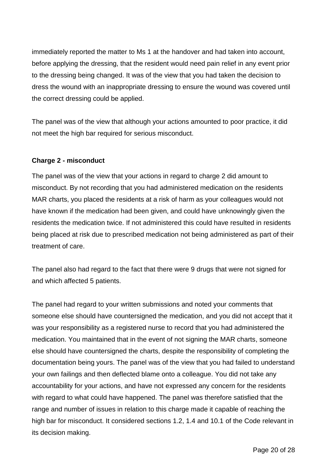immediately reported the matter to Ms 1 at the handover and had taken into account, before applying the dressing, that the resident would need pain relief in any event prior to the dressing being changed. It was of the view that you had taken the decision to dress the wound with an inappropriate dressing to ensure the wound was covered until the correct dressing could be applied.

The panel was of the view that although your actions amounted to poor practice, it did not meet the high bar required for serious misconduct.

### **Charge 2 - misconduct**

The panel was of the view that your actions in regard to charge 2 did amount to misconduct. By not recording that you had administered medication on the residents MAR charts, you placed the residents at a risk of harm as your colleagues would not have known if the medication had been given, and could have unknowingly given the residents the medication twice. If not administered this could have resulted in residents being placed at risk due to prescribed medication not being administered as part of their treatment of care.

The panel also had regard to the fact that there were 9 drugs that were not signed for and which affected 5 patients.

The panel had regard to your written submissions and noted your comments that someone else should have countersigned the medication, and you did not accept that it was your responsibility as a registered nurse to record that you had administered the medication. You maintained that in the event of not signing the MAR charts, someone else should have countersigned the charts, despite the responsibility of completing the documentation being yours. The panel was of the view that you had failed to understand your own failings and then deflected blame onto a colleague. You did not take any accountability for your actions, and have not expressed any concern for the residents with regard to what could have happened. The panel was therefore satisfied that the range and number of issues in relation to this charge made it capable of reaching the high bar for misconduct. It considered sections 1.2, 1.4 and 10.1 of the Code relevant in its decision making.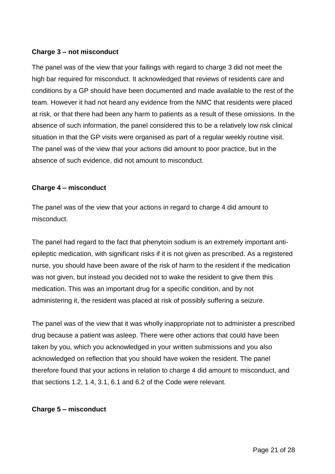### **Charge 3 – not misconduct**

The panel was of the view that your failings with regard to charge 3 did not meet the high bar required for misconduct. It acknowledged that reviews of residents care and conditions by a GP should have been documented and made available to the rest of the team. However it had not heard any evidence from the NMC that residents were placed at risk, or that there had been any harm to patients as a result of these omissions. In the absence of such information, the panel considered this to be a relatively low risk clinical situation in that the GP visits were organised as part of a regular weekly routine visit. The panel was of the view that your actions did amount to poor practice, but in the absence of such evidence, did not amount to misconduct.

### **Charge 4 – misconduct**

The panel was of the view that your actions in regard to charge 4 did amount to misconduct.

The panel had regard to the fact that phenytoin sodium is an extremely important antiepileptic medication, with significant risks if it is not given as prescribed. As a registered nurse, you should have been aware of the risk of harm to the resident if the medication was not given, but instead you decided not to wake the resident to give them this medication. This was an important drug for a specific condition, and by not administering it, the resident was placed at risk of possibly suffering a seizure.

The panel was of the view that it was wholly inappropriate not to administer a prescribed drug because a patient was asleep. There were other actions that could have been taken by you, which you acknowledged in your written submissions and you also acknowledged on reflection that you should have woken the resident. The panel therefore found that your actions in relation to charge 4 did amount to misconduct, and that sections 1.2, 1.4, 3.1, 6.1 and 6.2 of the Code were relevant.

### **Charge 5 – misconduct**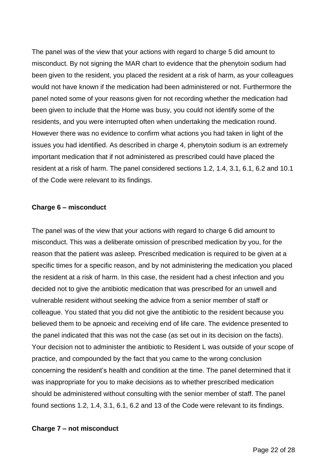The panel was of the view that your actions with regard to charge 5 did amount to misconduct. By not signing the MAR chart to evidence that the phenytoin sodium had been given to the resident, you placed the resident at a risk of harm, as your colleagues would not have known if the medication had been administered or not. Furthermore the panel noted some of your reasons given for not recording whether the medication had been given to include that the Home was busy, you could not identify some of the residents, and you were interrupted often when undertaking the medication round. However there was no evidence to confirm what actions you had taken in light of the issues you had identified. As described in charge 4, phenytoin sodium is an extremely important medication that if not administered as prescribed could have placed the resident at a risk of harm. The panel considered sections 1.2, 1.4, 3.1, 6.1, 6.2 and 10.1 of the Code were relevant to its findings.

#### **Charge 6 – misconduct**

The panel was of the view that your actions with regard to charge 6 did amount to misconduct. This was a deliberate omission of prescribed medication by you, for the reason that the patient was asleep. Prescribed medication is required to be given at a specific times for a specific reason, and by not administering the medication you placed the resident at a risk of harm. In this case, the resident had a chest infection and you decided not to give the antibiotic medication that was prescribed for an unwell and vulnerable resident without seeking the advice from a senior member of staff or colleague. You stated that you did not give the antibiotic to the resident because you believed them to be apnoeic and receiving end of life care. The evidence presented to the panel indicated that this was not the case (as set out in its decision on the facts). Your decision not to administer the antibiotic to Resident L was outside of your scope of practice, and compounded by the fact that you came to the wrong conclusion concerning the resident's health and condition at the time. The panel determined that it was inappropriate for you to make decisions as to whether prescribed medication should be administered without consulting with the senior member of staff. The panel found sections 1.2, 1.4, 3.1, 6.1, 6.2 and 13 of the Code were relevant to its findings.

#### **Charge 7 – not misconduct**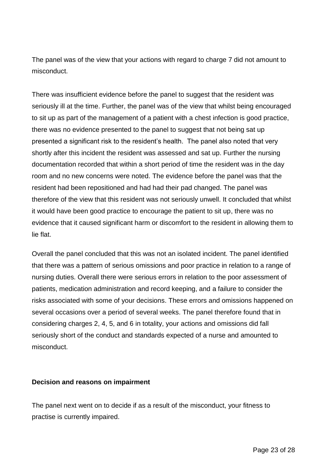The panel was of the view that your actions with regard to charge 7 did not amount to misconduct.

There was insufficient evidence before the panel to suggest that the resident was seriously ill at the time. Further, the panel was of the view that whilst being encouraged to sit up as part of the management of a patient with a chest infection is good practice, there was no evidence presented to the panel to suggest that not being sat up presented a significant risk to the resident's health. The panel also noted that very shortly after this incident the resident was assessed and sat up. Further the nursing documentation recorded that within a short period of time the resident was in the day room and no new concerns were noted. The evidence before the panel was that the resident had been repositioned and had had their pad changed. The panel was therefore of the view that this resident was not seriously unwell. It concluded that whilst it would have been good practice to encourage the patient to sit up, there was no evidence that it caused significant harm or discomfort to the resident in allowing them to lie flat.

Overall the panel concluded that this was not an isolated incident. The panel identified that there was a pattern of serious omissions and poor practice in relation to a range of nursing duties. Overall there were serious errors in relation to the poor assessment of patients, medication administration and record keeping, and a failure to consider the risks associated with some of your decisions. These errors and omissions happened on several occasions over a period of several weeks. The panel therefore found that in considering charges 2, 4, 5, and 6 in totality, your actions and omissions did fall seriously short of the conduct and standards expected of a nurse and amounted to misconduct.

### **Decision and reasons on impairment**

The panel next went on to decide if as a result of the misconduct, your fitness to practise is currently impaired.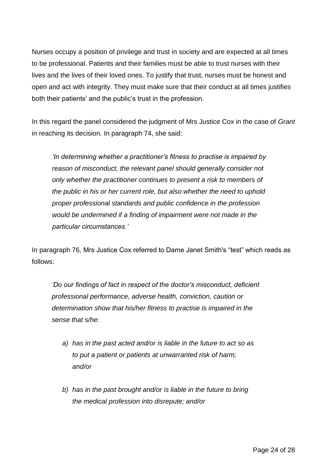Nurses occupy a position of privilege and trust in society and are expected at all times to be professional. Patients and their families must be able to trust nurses with their lives and the lives of their loved ones. To justify that trust, nurses must be honest and open and act with integrity. They must make sure that their conduct at all times justifies both their patients' and the public's trust in the profession.

In this regard the panel considered the judgment of Mrs Justice Cox in the case of *Grant* in reaching its decision. In paragraph 74, she said:

*'In determining whether a practitioner's fitness to practise is impaired by reason of misconduct, the relevant panel should generally consider not only whether the practitioner continues to present a risk to members of the public in his or her current role, but also whether the need to uphold proper professional standards and public confidence in the profession would be undermined if a finding of impairment were not made in the particular circumstances.'*

In paragraph 76, Mrs Justice Cox referred to Dame Janet Smith's "test" which reads as follows:

*'Do our findings of fact in respect of the doctor's misconduct, deficient professional performance, adverse health, conviction, caution or determination show that his/her fitness to practise is impaired in the sense that s/he:*

- *a) has in the past acted and/or is liable in the future to act so as to put a patient or patients at unwarranted risk of harm; and/or*
- *b) has in the past brought and/or is liable in the future to bring the medical profession into disrepute; and/or*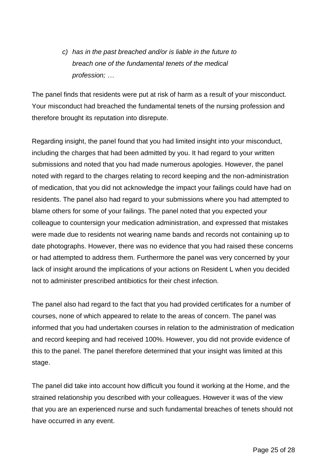*c) has in the past breached and/or is liable in the future to breach one of the fundamental tenets of the medical profession; …*

The panel finds that residents were put at risk of harm as a result of your misconduct. Your misconduct had breached the fundamental tenets of the nursing profession and therefore brought its reputation into disrepute.

Regarding insight, the panel found that you had limited insight into your misconduct, including the charges that had been admitted by you. It had regard to your written submissions and noted that you had made numerous apologies. However, the panel noted with regard to the charges relating to record keeping and the non-administration of medication, that you did not acknowledge the impact your failings could have had on residents. The panel also had regard to your submissions where you had attempted to blame others for some of your failings. The panel noted that you expected your colleague to countersign your medication administration, and expressed that mistakes were made due to residents not wearing name bands and records not containing up to date photographs. However, there was no evidence that you had raised these concerns or had attempted to address them. Furthermore the panel was very concerned by your lack of insight around the implications of your actions on Resident L when you decided not to administer prescribed antibiotics for their chest infection.

The panel also had regard to the fact that you had provided certificates for a number of courses, none of which appeared to relate to the areas of concern. The panel was informed that you had undertaken courses in relation to the administration of medication and record keeping and had received 100%. However, you did not provide evidence of this to the panel. The panel therefore determined that your insight was limited at this stage.

The panel did take into account how difficult you found it working at the Home, and the strained relationship you described with your colleagues. However it was of the view that you are an experienced nurse and such fundamental breaches of tenets should not have occurred in any event.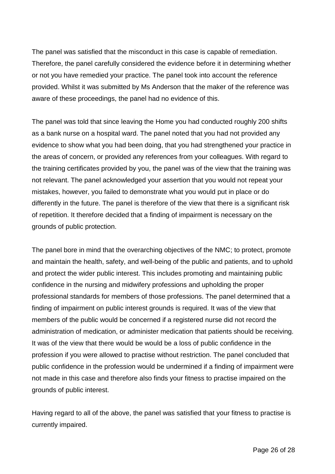The panel was satisfied that the misconduct in this case is capable of remediation. Therefore, the panel carefully considered the evidence before it in determining whether or not you have remedied your practice. The panel took into account the reference provided. Whilst it was submitted by Ms Anderson that the maker of the reference was aware of these proceedings, the panel had no evidence of this.

The panel was told that since leaving the Home you had conducted roughly 200 shifts as a bank nurse on a hospital ward. The panel noted that you had not provided any evidence to show what you had been doing, that you had strengthened your practice in the areas of concern, or provided any references from your colleagues. With regard to the training certificates provided by you, the panel was of the view that the training was not relevant. The panel acknowledged your assertion that you would not repeat your mistakes, however, you failed to demonstrate what you would put in place or do differently in the future. The panel is therefore of the view that there is a significant risk of repetition. It therefore decided that a finding of impairment is necessary on the grounds of public protection.

The panel bore in mind that the overarching objectives of the NMC; to protect, promote and maintain the health, safety, and well-being of the public and patients, and to uphold and protect the wider public interest. This includes promoting and maintaining public confidence in the nursing and midwifery professions and upholding the proper professional standards for members of those professions. The panel determined that a finding of impairment on public interest grounds is required. It was of the view that members of the public would be concerned if a registered nurse did not record the administration of medication, or administer medication that patients should be receiving. It was of the view that there would be would be a loss of public confidence in the profession if you were allowed to practise without restriction. The panel concluded that public confidence in the profession would be undermined if a finding of impairment were not made in this case and therefore also finds your fitness to practise impaired on the grounds of public interest.

Having regard to all of the above, the panel was satisfied that your fitness to practise is currently impaired.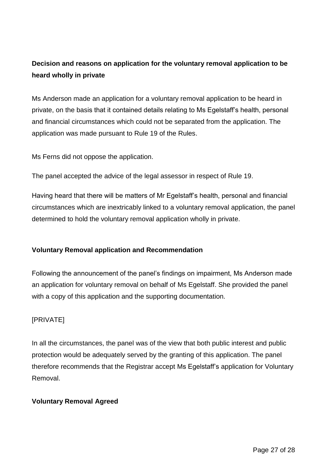## **Decision and reasons on application for the voluntary removal application to be heard wholly in private**

Ms Anderson made an application for a voluntary removal application to be heard in private, on the basis that it contained details relating to Ms Egelstaff's health, personal and financial circumstances which could not be separated from the application. The application was made pursuant to Rule 19 of the Rules.

Ms Ferns did not oppose the application.

The panel accepted the advice of the legal assessor in respect of Rule 19.

Having heard that there will be matters of Mr Egelstaff's health, personal and financial circumstances which are inextricably linked to a voluntary removal application, the panel determined to hold the voluntary removal application wholly in private.

### **Voluntary Removal application and Recommendation**

Following the announcement of the panel's findings on impairment, Ms Anderson made an application for voluntary removal on behalf of Ms Egelstaff. She provided the panel with a copy of this application and the supporting documentation.

### [PRIVATE]

In all the circumstances, the panel was of the view that both public interest and public protection would be adequately served by the granting of this application. The panel therefore recommends that the Registrar accept Ms Egelstaff's application for Voluntary Removal.

### **Voluntary Removal Agreed**